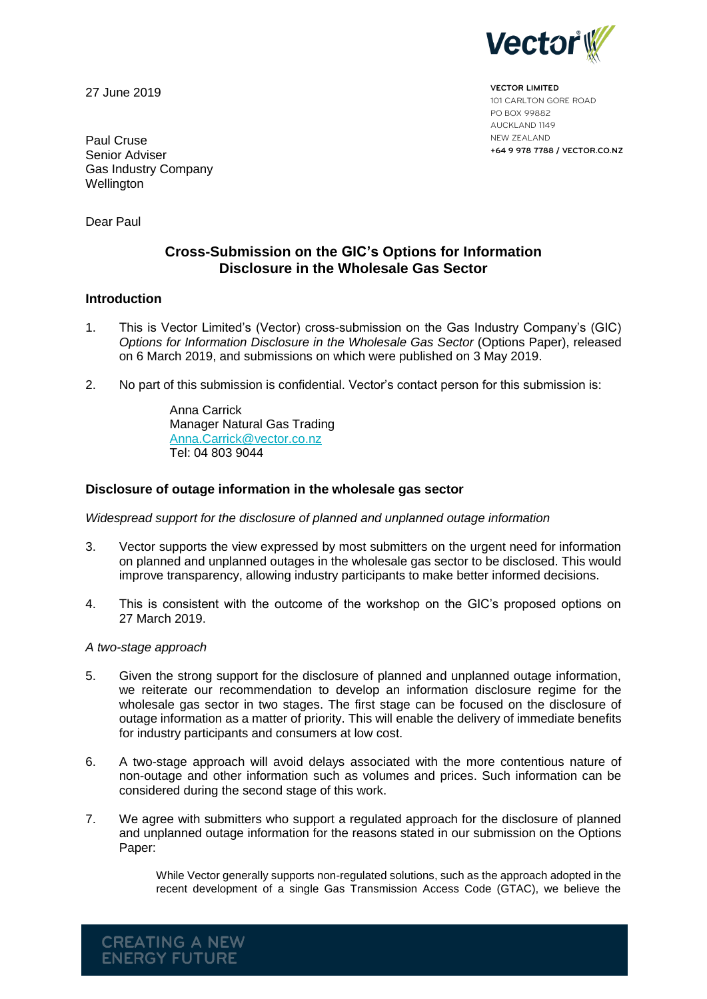

**VECTOR LIMITED** 101 CARLTON GORE ROAD PO BOX 99882 AUCKLAND 1149 NEW ZEALAND **+64 9 978 7788 / VECTOR.CO.NZ**

27 June 2019

Paul Cruse Senior Adviser Gas Industry Company Wellington

Dear Paul

# **Cross-Submission on the GIC's Options for Information Disclosure in the Wholesale Gas Sector**

## **Introduction**

- 1. This is Vector Limited's (Vector) cross-submission on the Gas Industry Company's (GIC) *Options for Information Disclosure in the Wholesale Gas Sector* (Options Paper), released on 6 March 2019, and submissions on which were published on 3 May 2019.
- 2. No part of this submission is confidential. Vector's contact person for this submission is:

Anna Carrick Manager Natural Gas Trading [Anna.Carrick@vector.co.nz](mailto:Anna.Carrick@vector.co.nz) Tel: 04 803 9044

### **Disclosure of outage information in the wholesale gas sector**

*Widespread support for the disclosure of planned and unplanned outage information*

- 3. Vector supports the view expressed by most submitters on the urgent need for information on planned and unplanned outages in the wholesale gas sector to be disclosed. This would improve transparency, allowing industry participants to make better informed decisions.
- 4. This is consistent with the outcome of the workshop on the GIC's proposed options on 27 March 2019.

#### *A two-stage approach*

**CREATING A NEW ENERGY FUTURE** 

- 5. Given the strong support for the disclosure of planned and unplanned outage information, we reiterate our recommendation to develop an information disclosure regime for the wholesale gas sector in two stages. The first stage can be focused on the disclosure of outage information as a matter of priority. This will enable the delivery of immediate benefits for industry participants and consumers at low cost.
- 6. A two-stage approach will avoid delays associated with the more contentious nature of non-outage and other information such as volumes and prices. Such information can be considered during the second stage of this work.
- 7. We agree with submitters who support a regulated approach for the disclosure of planned and unplanned outage information for the reasons stated in our submission on the Options Paper:

While Vector generally supports non-regulated solutions, such as the approach adopted in the recent development of a single Gas Transmission Access Code (GTAC), we believe the